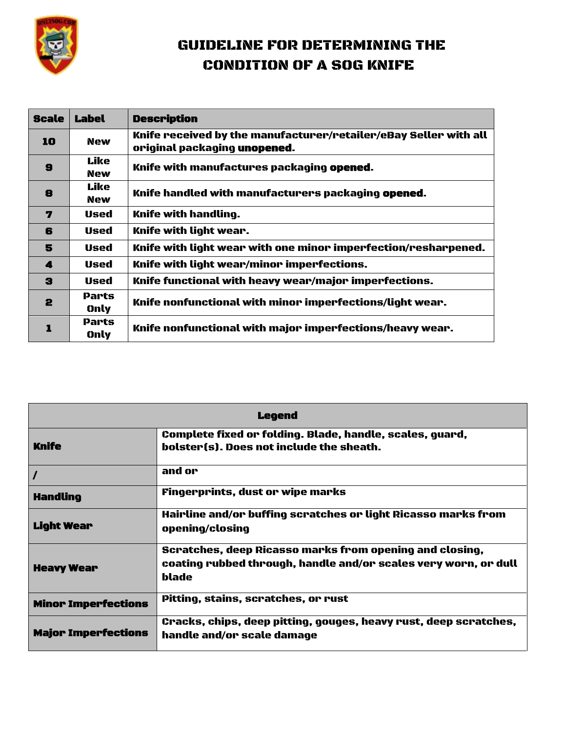

## GUIDELINE FOR DETERMINING THE CONDITION OF A SOG KNIFE

| <b>Scale</b> | Label              | <b>Description</b>                                                                               |
|--------------|--------------------|--------------------------------------------------------------------------------------------------|
| 10           | <b>New</b>         | Knife received by the manufacturer/retailer/eBay Seller with all<br>original packaging unopened. |
| $\mathbf{9}$ | Like<br>New        | Knife with manufactures packaging opened.                                                        |
| 8            | Like<br><b>New</b> | Knife handled with manufacturers packaging opened.                                               |
| 7            | Used               | Knife with handling.                                                                             |
| 6            | Used               | Knife with light wear.                                                                           |
| 5            | Used               | Knife with light wear with one minor imperfection/resharpened.                                   |
| 4            | Used               | Knife with light wear/minor imperfections.                                                       |
| З            | Used               | Knife functional with heavy wear/major imperfections.                                            |
| 2            | Parts<br>Only      | Knife nonfunctional with minor imperfections/light wear.                                         |
|              | Parts<br>Only      | Knife nonfunctional with major imperfections/heavy wear.                                         |

| <b>Legend</b>              |                                                                                                                                     |  |
|----------------------------|-------------------------------------------------------------------------------------------------------------------------------------|--|
| <b>Knife</b>               | Complete fixed or folding. Blade, handle, scales, guard,<br>bolster(s). Does not include the sheath.                                |  |
|                            | and or                                                                                                                              |  |
| <b>Handling</b>            | Fingerprints, dust or wipe marks                                                                                                    |  |
| <b>Light Wear</b>          | Hairline and/or buffing scratches or light Ricasso marks from<br>opening/closing                                                    |  |
| <b>Heavy Wear</b>          | Scratches, deep Ricasso marks from opening and closing,<br>coating rubbed through, handle and/or scales very worn, or dull<br>blade |  |
| <b>Minor Imperfections</b> | Pitting, stains, scratches, or rust                                                                                                 |  |
| <b>Major Imperfections</b> | Cracks, chips, deep pitting, gouges, heavy rust, deep scratches,<br>handle and/or scale damage                                      |  |